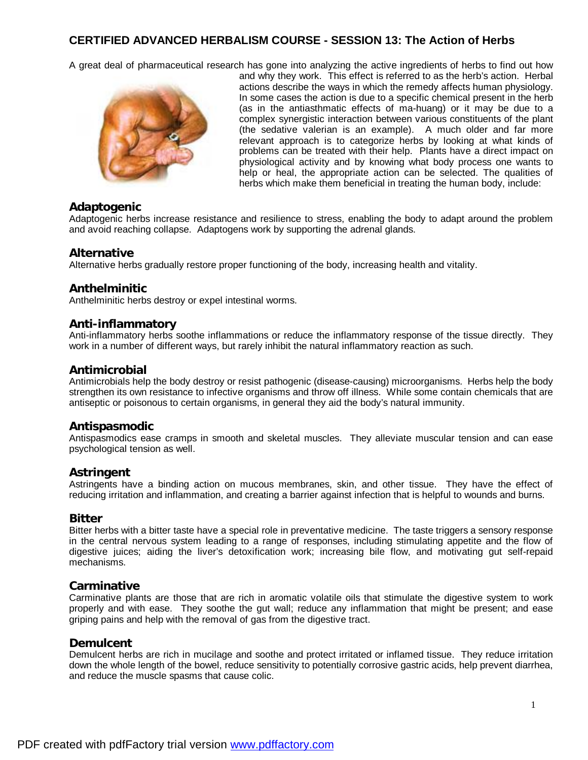# **CERTIFIED ADVANCED HERBALISM COURSE - SESSION 13: The Action of Herbs**

A great deal of pharmaceutical research has gone into analyzing the active ingredients of herbs to find out how



and why they work. This effect is referred to as the herb's action. Herbal actions describe the ways in which the remedy affects human physiology. In some cases the action is due to a specific chemical present in the herb (as in the antiasthmatic effects of ma-huang) or it may be due to a complex synergistic interaction between various constituents of the plant (the sedative valerian is an example). A much older and far more relevant approach is to categorize herbs by looking at what kinds of problems can be treated with their help. Plants have a direct impact on physiological activity and by knowing what body process one wants to help or heal, the appropriate action can be selected. The qualities of herbs which make them beneficial in treating the human body, include:

# **Adaptogenic**

Adaptogenic herbs increase resistance and resilience to stress, enabling the body to adapt around the problem and avoid reaching collapse. Adaptogens work by supporting the adrenal glands.

### **Alternative**

Alternative herbs gradually restore proper functioning of the body, increasing health and vitality.

### **Anthelminitic**

Anthelminitic herbs destroy or expel intestinal worms.

## **Anti-inflammatory**

Anti-inflammatory herbs soothe inflammations or reduce the inflammatory response of the tissue directly. They work in a number of different ways, but rarely inhibit the natural inflammatory reaction as such.

### **Antimicrobial**

Antimicrobials help the body destroy or resist pathogenic (disease-causing) microorganisms. Herbs help the body strengthen its own resistance to infective organisms and throw off illness. While some contain chemicals that are antiseptic or poisonous to certain organisms, in general they aid the body's natural immunity.

## **Antispasmodic**

Antispasmodics ease cramps in smooth and skeletal muscles. They alleviate muscular tension and can ease psychological tension as well.

### **Astringent**

Astringents have a binding action on mucous membranes, skin, and other tissue. They have the effect of reducing irritation and inflammation, and creating a barrier against infection that is helpful to wounds and burns.

### **Bitter**

Bitter herbs with a bitter taste have a special role in preventative medicine. The taste triggers a sensory response in the central nervous system leading to a range of responses, including stimulating appetite and the flow of digestive juices; aiding the liver's detoxification work; increasing bile flow, and motivating gut self-repaid mechanisms.

### **Carminative**

Carminative plants are those that are rich in aromatic volatile oils that stimulate the digestive system to work properly and with ease. They soothe the gut wall; reduce any inflammation that might be present; and ease griping pains and help with the removal of gas from the digestive tract.

### **Demulcent**

Demulcent herbs are rich in mucilage and soothe and protect irritated or inflamed tissue. They reduce irritation down the whole length of the bowel, reduce sensitivity to potentially corrosive gastric acids, help prevent diarrhea, and reduce the muscle spasms that cause colic.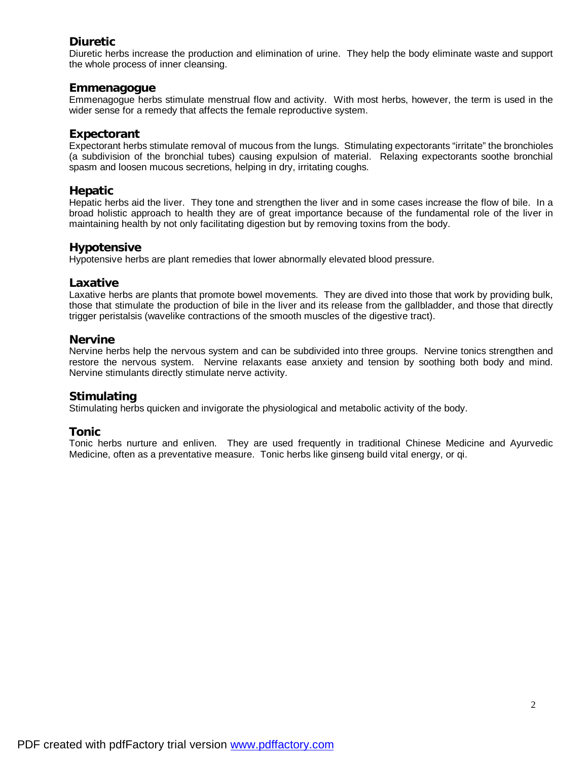# **Diuretic**

Diuretic herbs increase the production and elimination of urine. They help the body eliminate waste and support the whole process of inner cleansing.

## **Emmenagogue**

Emmenagogue herbs stimulate menstrual flow and activity. With most herbs, however, the term is used in the wider sense for a remedy that affects the female reproductive system.

## **Expectorant**

Expectorant herbs stimulate removal of mucous from the lungs. Stimulating expectorants "irritate" the bronchioles (a subdivision of the bronchial tubes) causing expulsion of material. Relaxing expectorants soothe bronchial spasm and loosen mucous secretions, helping in dry, irritating coughs.

### **Hepatic**

Hepatic herbs aid the liver. They tone and strengthen the liver and in some cases increase the flow of bile. In a broad holistic approach to health they are of great importance because of the fundamental role of the liver in maintaining health by not only facilitating digestion but by removing toxins from the body.

# **Hypotensive**

Hypotensive herbs are plant remedies that lower abnormally elevated blood pressure.

### **Laxative**

Laxative herbs are plants that promote bowel movements. They are dived into those that work by providing bulk, those that stimulate the production of bile in the liver and its release from the gallbladder, and those that directly trigger peristalsis (wavelike contractions of the smooth muscles of the digestive tract).

### **Nervine**

Nervine herbs help the nervous system and can be subdivided into three groups. Nervine tonics strengthen and restore the nervous system. Nervine relaxants ease anxiety and tension by soothing both body and mind. Nervine stimulants directly stimulate nerve activity.

## **Stimulating**

Stimulating herbs quicken and invigorate the physiological and metabolic activity of the body.

### **Tonic**

Tonic herbs nurture and enliven. They are used frequently in traditional Chinese Medicine and Ayurvedic Medicine, often as a preventative measure. Tonic herbs like ginseng build vital energy, or qi.